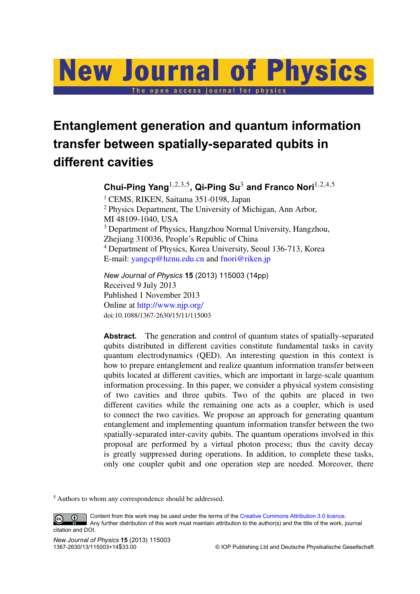# **New Journal of Physics** The open access journal for physics

## **Entanglement generation and quantum information transfer between spatially-separated qubits in different cavities**

**Chui-Ping Yang**1,2,3,<sup>5</sup> **, Qi-Ping Su**<sup>3</sup> **and Franco Nori**1,2,4,<sup>5</sup>

<sup>1</sup> CEMS, RIKEN, Saitama 351-0198, Japan <sup>2</sup> Physics Department, The University of Michigan, Ann Arbor, MI 48109-1040, USA <sup>3</sup> Department of Physics, Hangzhou Normal University, Hangzhou, Zhejiang 310036, People's Republic of China <sup>4</sup> Department of Physics, Korea University, Seoul 136-713, Korea E-mail: [yangcp@hznu.edu.cn](mailto:yangcp@hznu.edu.cn) and [fnori@riken.jp](mailto:fnori@riken.jp)

*New Journal of Physics* **15** (2013) 115003 (14pp) Received 9 July 2013 Published 1 November 2013 Online at <http://www.njp.org/> doi:10.1088/1367-2630/15/11/115003

Abstract. The generation and control of quantum states of spatially-separated qubits distributed in different cavities constitute fundamental tasks in cavity quantum electrodynamics (QED). An interesting question in this context is how to prepare entanglement and realize quantum information transfer between qubits located at different cavities, which are important in large-scale quantum information processing. In this paper, we consider a physical system consisting of two cavities and three qubits. Two of the qubits are placed in two different cavities while the remaining one acts as a coupler, which is used to connect the two cavities. We propose an approach for generating quantum entanglement and implementing quantum information transfer between the two spatially-separated inter-cavity qubits. The quantum operations involved in this proposal are performed by a virtual photon process; thus the cavity decay is greatly suppressed during operations. In addition, to complete these tasks, only one coupler qubit and one operation step are needed. Moreover, there

<sup>5</sup> Authors to whom any correspondence should be addressed.

Content from this work may be used under the terms of the [Creative Commons Attribution 3.0 licence.](http://creativecommons.org/licenses/by/3.0)  $\odot$  $\left($ cc Any further distribution of this work must maintain attribution to the author(s) and the title of the work, journal citation and DOI.

© IOP Publishing Ltd and Deutsche Physikalische Gesellschaft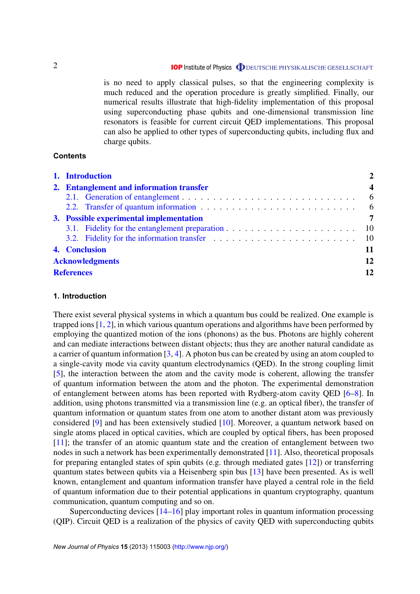## **IOP** Institute of Physics **ODEUTSCHE PHYSIKALISCHE GESELLSCHAFT**

is no need to apply classical pulses, so that the engineering complexity is much reduced and the operation procedure is greatly simplified. Finally, our numerical results illustrate that high-fidelity implementation of this proposal using superconducting phase qubits and one-dimensional transmission line resonators is feasible for current circuit QED implementations. This proposal can also be applied to other types of superconducting qubits, including flux and charge qubits.

#### **Contents**

| 1. Introduction                                                                                                                                                                                                                |                  |
|--------------------------------------------------------------------------------------------------------------------------------------------------------------------------------------------------------------------------------|------------------|
| 2. Entanglement and information transfer                                                                                                                                                                                       | $\boldsymbol{4}$ |
|                                                                                                                                                                                                                                | 6                |
| 2.2. Transfer of quantum information enters in the set of the set of the set of the set of the set of the set of the set of the set of the set of the set of the set of the set of the set of the set of the set of the set of |                  |
| 3. Possible experimental implementation                                                                                                                                                                                        |                  |
|                                                                                                                                                                                                                                |                  |
|                                                                                                                                                                                                                                | $\sqrt{10}$      |
| 4. Conclusion                                                                                                                                                                                                                  | 11               |
| <b>Acknowledgments</b>                                                                                                                                                                                                         | 12               |
| <b>References</b>                                                                                                                                                                                                              | 12               |

## **1. Introduction**

There exist several physical systems in which a quantum bus could be realized. One example is trapped ions [\[1,](#page-11-0) [2\]](#page-11-0), in which various quantum operations and algorithms have been performed by employing the quantized motion of the ions (phonons) as the bus. Photons are highly coherent and can mediate interactions between distant objects; thus they are another natural candidate as a carrier of quantum information [\[3,](#page-11-0) [4\]](#page-11-0). A photon bus can be created by using an atom coupled to a single-cavity mode via cavity quantum electrodynamics (QED). In the strong coupling limit [\[5\]](#page-11-0), the interaction between the atom and the cavity mode is coherent, allowing the transfer of quantum information between the atom and the photon. The experimental demonstration of entanglement between atoms has been reported with Rydberg-atom cavity QED [\[6–8\]](#page-11-0). In addition, using photons transmitted via a transmission line (e.g. an optical fiber), the transfer of quantum information or quantum states from one atom to another distant atom was previously considered [\[9\]](#page-11-0) and has been extensively studied [\[10\]](#page-11-0). Moreover, a quantum network based on single atoms placed in optical cavities, which are coupled by optical fibers, has been proposed [\[11\]](#page-11-0); the transfer of an atomic quantum state and the creation of entanglement between two nodes in such a network has been experimentally demonstrated [\[11\]](#page-11-0). Also, theoretical proposals for preparing entangled states of spin qubits (e.g. through mediated gates [\[12\]](#page-11-0)) or transferring quantum states between qubits via a Heisenberg spin bus [\[13\]](#page-11-0) have been presented. As is well known, entanglement and quantum information transfer have played a central role in the field of quantum information due to their potential applications in quantum cryptography, quantum communication, quantum computing and so on.

Superconducting devices [\[14–16\]](#page-12-0) play important roles in quantum information processing (QIP). Circuit QED is a realization of the physics of cavity QED with superconducting qubits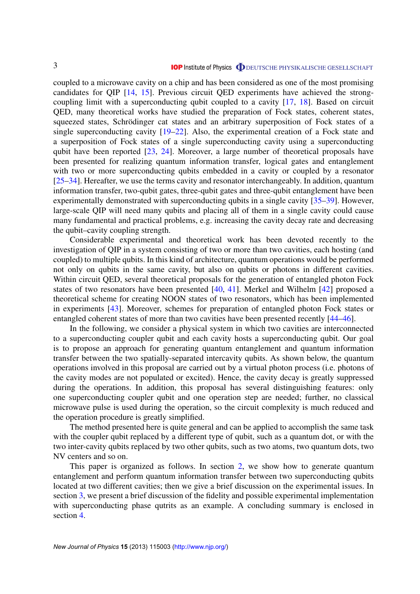coupled to a microwave cavity on a chip and has been considered as one of the most promising candidates for QIP [\[14,](#page-12-0) [15\]](#page-12-0). Previous circuit QED experiments have achieved the strongcoupling limit with a superconducting qubit coupled to a cavity [\[17,](#page-12-0) [18\]](#page-12-0). Based on circuit QED, many theoretical works have studied the preparation of Fock states, coherent states, squeezed states, Schrödinger cat states and an arbitrary superposition of Fock states of a single superconducting cavity [\[19–22\]](#page-12-0). Also, the experimental creation of a Fock state and a superposition of Fock states of a single superconducting cavity using a superconducting qubit have been reported [\[23,](#page-12-0) [24\]](#page-12-0). Moreover, a large number of theoretical proposals have been presented for realizing quantum information transfer, logical gates and entanglement with two or more superconducting qubits embedded in a cavity or coupled by a resonator [\[25–34\]](#page-12-0). Hereafter, we use the terms cavity and resonator interchangeably. In addition, quantum information transfer, two-qubit gates, three-qubit gates and three-qubit entanglement have been experimentally demonstrated with superconducting qubits in a single cavity [\[35–39\]](#page-12-0). However, large-scale QIP will need many qubits and placing all of them in a single cavity could cause many fundamental and practical problems, e.g. increasing the cavity decay rate and decreasing the qubit–cavity coupling strength.

Considerable experimental and theoretical work has been devoted recently to the investigation of QIP in a system consisting of two or more than two cavities, each hosting (and coupled) to multiple qubits. In this kind of architecture, quantum operations would be performed not only on qubits in the same cavity, but also on qubits or photons in different cavities. Within circuit QED, several theoretical proposals for the generation of entangled photon Fock states of two resonators have been presented [\[40,](#page-12-0) [41\]](#page-12-0). Merkel and Wilhelm [\[42\]](#page-12-0) proposed a theoretical scheme for creating NOON states of two resonators, which has been implemented in experiments [\[43\]](#page-12-0). Moreover, schemes for preparation of entangled photon Fock states or entangled coherent states of more than two cavities have been presented recently [\[44–46\]](#page-12-0).

In the following, we consider a physical system in which two cavities are interconnected to a superconducting coupler qubit and each cavity hosts a superconducting qubit. Our goal is to propose an approach for generating quantum entanglement and quantum information transfer between the two spatially-separated intercavity qubits. As shown below, the quantum operations involved in this proposal are carried out by a virtual photon process (i.e. photons of the cavity modes are not populated or excited). Hence, the cavity decay is greatly suppressed during the operations. In addition, this proposal has several distinguishing features: only one superconducting coupler qubit and one operation step are needed; further, no classical microwave pulse is used during the operation, so the circuit complexity is much reduced and the operation procedure is greatly simplified.

The method presented here is quite general and can be applied to accomplish the same task with the coupler qubit replaced by a different type of qubit, such as a quantum dot, or with the two inter-cavity qubits replaced by two other qubits, such as two atoms, two quantum dots, two NV centers and so on.

This paper is organized as follows. In section 2, we show how to generate quantum entanglement and perform quantum information transfer between two superconducting qubits located at two different cavities; then we give a brief discussion on the experimental issues. In section [3,](#page-6-0) we present a brief discussion of the fidelity and possible experimental implementation with superconducting phase qutrits as an example. A concluding summary is enclosed in section [4.](#page-10-0)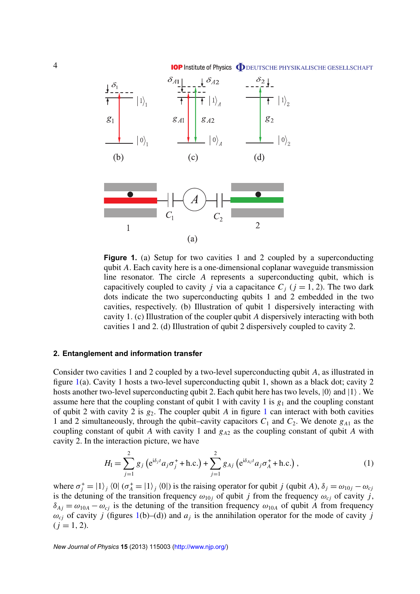**IOP Institute of Physics O** DEUTSCHE PHYSIKALISCHE GESELLSCHAFT

<span id="page-3-0"></span>



**Figure 1.** (a) Setup for two cavities 1 and 2 coupled by a superconducting qubit *A*. Each cavity here is a one-dimensional coplanar waveguide transmission line resonator. The circle *A* represents a superconducting qubit, which is capacitively coupled to cavity *j* via a capacitance  $C_j$  ( $j = 1, 2$ ). The two dark dots indicate the two superconducting qubits 1 and 2 embedded in the two cavities, respectively. (b) Illustration of qubit 1 dispersively interacting with cavity 1. (c) Illustration of the coupler qubit *A* dispersively interacting with both cavities 1 and 2. (d) Illustration of qubit 2 dispersively coupled to cavity 2.

## **2. Entanglement and information transfer**

Consider two cavities 1 and 2 coupled by a two-level superconducting qubit *A*, as illustrated in figure 1(a). Cavity 1 hosts a two-level superconducting qubit 1, shown as a black dot; cavity 2 hosts another two-level superconducting qubit 2. Each qubit here has two levels,  $|0\rangle$  and  $|1\rangle$ . We assume here that the coupling constant of qubit 1 with cavity 1 is  $g_1$  and the coupling constant of qubit 2 with cavity 2 is  $g_2$ . The coupler qubit *A* in figure 1 can interact with both cavities 1 and 2 simultaneously, through the qubit–cavity capacitors  $C_1$  and  $C_2$ . We denote  $g_{A1}$  as the coupling constant of qubit *A* with cavity 1 and *g<sup>A</sup>*<sup>2</sup> as the coupling constant of qubit *A* with cavity 2. In the interaction picture, we have

$$
H_{\rm I} = \sum_{j=1}^{2} g_j \left( e^{i\delta_j t} a_j \sigma_j^+ + \text{h.c.} \right) + \sum_{j=1}^{2} g_{Aj} \left( e^{i\delta_{Aj} t} a_j \sigma_A^+ + \text{h.c.} \right), \tag{1}
$$

where  $\sigma_j^+ = |1\rangle_j \langle 0| (\sigma_A^+ = |1\rangle_j \langle 0|)$  is the raising operator for qubit *j* (qubit *A*),  $\delta_j = \omega_{10j} - \omega_{cj}$ is the detuning of the transition frequency  $\omega_{10j}$  of qubit *j* from the frequency  $\omega_{cj}$  of cavity *j*,  $\delta_{Ai} = \omega_{10A} - \omega_{ci}$  is the detuning of the transition frequency  $\omega_{10A}$  of qubit *A* from frequency  $\omega_{cj}$  of cavity *j* (figures 1(b)–(d)) and  $a_j$  is the annihilation operator for the mode of cavity *j*  $(i = 1, 2)$ .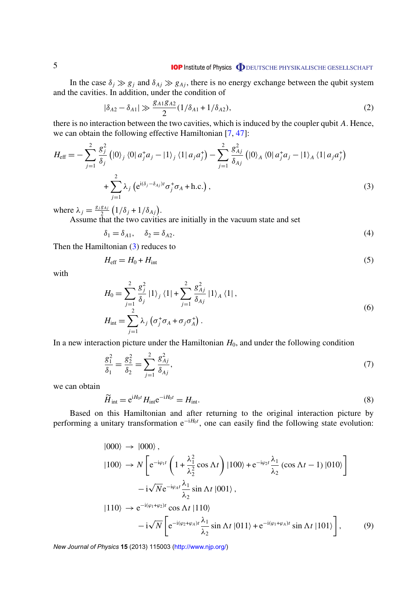## **IOP Institute of Physics ODEUTSCHE PHYSIKALISCHE GESELLSCHAFT**

<span id="page-4-0"></span>In the case  $\delta_j \gg g_j$  and  $\delta_{Aj} \gg g_{Aj}$ , there is no energy exchange between the qubit system and the cavities. In addition, under the condition of

$$
|\delta_{A2} - \delta_{A1}| \gg \frac{g_{A1}g_{A2}}{2} (1/\delta_{A1} + 1/\delta_{A2}),
$$
 (2)

there is no interaction between the two cavities, which is induced by the coupler qubit *A*. Hence, we can obtain the following effective Hamiltonian [\[7,](#page-11-0) [47\]](#page-12-0):

$$
H_{\text{eff}} = -\sum_{j=1}^{2} \frac{g_{j}^{2}}{\delta_{j}} \left( |0\rangle_{j} \langle 0| a_{j}^{+} a_{j} - |1\rangle_{j} \langle 1| a_{j} a_{j}^{+} \right) - \sum_{j=1}^{2} \frac{g_{Aj}^{2}}{\delta_{Aj}} \left( |0\rangle_{A} \langle 0| a_{j}^{+} a_{j} - |1\rangle_{A} \langle 1| a_{j} a_{j}^{+} \right) + \sum_{j=1}^{2} \lambda_{j} \left( e^{i(\delta_{j} - \delta_{Aj})t} \sigma_{j}^{+} \sigma_{A} + \text{h.c.} \right), \tag{3}
$$

where  $\lambda_j = \frac{g_j g_{Aj}}{2}$  $\frac{g_{Aj}}{2} (1/\delta_j + 1/\delta_{Aj}).$ 

Assume that the two cavities are initially in the vacuum state and set

$$
\delta_1 = \delta_{A1}, \quad \delta_2 = \delta_{A2}.\tag{4}
$$

Then the Hamiltonian (3) reduces to

$$
H_{\rm eff} = H_0 + H_{\rm int} \tag{5}
$$

with

$$
H_0 = \sum_{j=1}^{2} \frac{g_j^2}{\delta_j} |1\rangle_j \langle 1| + \sum_{j=1}^{2} \frac{g_{Aj}^2}{\delta_{Aj}} |1\rangle_A \langle 1|,
$$
  
\n
$$
H_{\text{int}} = \sum_{j=1}^{2} \lambda_j \left( \sigma_j^+ \sigma_A + \sigma_j \sigma_A^+ \right).
$$
\n(6)

In a new interaction picture under the Hamiltonian  $H_0$ , and under the following condition

$$
\frac{g_1^2}{\delta_1} = \frac{g_2^2}{\delta_2} = \sum_{j=1}^2 \frac{g_{Aj}^2}{\delta_{Aj}},
$$
\n(7)

we can obtain

$$
\widetilde{H}_{\text{int}} = e^{iH_0 t} H_{\text{int}} e^{-iH_0 t} = H_{\text{int}}.
$$
\n(8)

Based on this Hamiltonian and after returning to the original interaction picture by performing a unitary transformation e<sup>-i*H*<sub>0</sub>*t*</sup>, one can easily find the following state evolution:

$$
\begin{split}\n\left| 000 \right\rangle &\rightarrow \left| 000 \right\rangle, \\
\left| 100 \right\rangle &\rightarrow N \left[ e^{-i\varphi_1 t} \left( 1 + \frac{\lambda_1^2}{\lambda_2^2} \cos \Lambda t \right) \left| 100 \right\rangle + e^{-i\varphi_2 t} \frac{\lambda_1}{\lambda_2} \left( \cos \Lambda t - 1 \right) \left| 010 \right\rangle \right] \\
&\quad - i \sqrt{N} e^{-i\varphi_4 t} \frac{\lambda_1}{\lambda_2} \sin \Lambda t \left| 001 \right\rangle, \\
\left| 110 \right\rangle &\rightarrow e^{-i(\varphi_1 + \varphi_2)t} \cos \Lambda t \left| 110 \right\rangle \\
&\quad - i \sqrt{N} \left[ e^{-i(\varphi_2 + \varphi_4)t} \frac{\lambda_1}{\lambda_2} \sin \Lambda t \left| 011 \right\rangle + e^{-i(\varphi_1 + \varphi_4)t} \sin \Lambda t \left| 101 \right\rangle \right],\n\end{split}
$$
\n(9)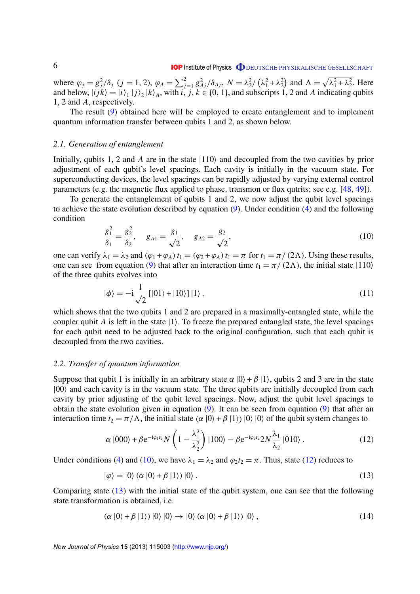<span id="page-5-0"></span>where  $\varphi_j = g_j^2/\delta_j$  ( $j = 1, 2$ ),  $\varphi_A = \sum_{j=1}^2 g_{Aj}^2/\delta_{Aj}$ ,  $N = \lambda_j^2/\left(\lambda_1^2 + \lambda_2^2\right)$  and  $\Lambda = \sqrt{\lambda_1^2 + \lambda_2^2}$ . Here and below,  $|i j k\rangle = |i\rangle |j\rangle |k\rangle |A$ , with  $i, j, k \in \{0, 1\}$ , and subscripts 1, 2 and *A* indicating qubits 1, 2 and *A*, respectively.

The result [\(9\)](#page-4-0) obtained here will be employed to create entanglement and to implement quantum information transfer between qubits 1 and 2, as shown below.

#### *2.1. Generation of entanglement*

Initially, qubits 1, 2 and A are in the state  $|110\rangle$  and decoupled from the two cavities by prior adjustment of each qubit's level spacings. Each cavity is initially in the vacuum state. For superconducting devices, the level spacings can be rapidly adjusted by varying external control parameters (e.g. the magnetic flux applied to phase, transmon or flux qutrits; see e.g. [\[48,](#page-12-0) [49\]](#page-12-0)).

To generate the entanglement of qubits 1 and 2, we now adjust the qubit level spacings to achieve the state evolution described by equation [\(9\)](#page-4-0). Under condition [\(4\)](#page-4-0) and the following condition

$$
\frac{g_1^2}{\delta_1} = \frac{g_2^2}{\delta_2}, \quad g_{A1} = \frac{g_1}{\sqrt{2}}, \quad g_{A2} = \frac{g_2}{\sqrt{2}}, \tag{10}
$$

one can verify  $\lambda_1 = \lambda_2$  and  $(\varphi_1 + \varphi_A) t_1 = (\varphi_2 + \varphi_A) t_1 = \pi$  for  $t_1 = \pi/(2\Lambda)$ . Using these results, one can see from equation [\(9\)](#page-4-0) that after an interaction time  $t_1 = \pi/(2\Lambda)$ , the initial state  $|110\rangle$ of the three qubits evolves into

$$
|\phi\rangle = -i\frac{1}{\sqrt{2}}\left[|01\rangle + |10\rangle\right]|1\rangle, \qquad (11)
$$

which shows that the two qubits 1 and 2 are prepared in a maximally-entangled state, while the coupler qubit *A* is left in the state  $|1\rangle$ . To freeze the prepared entangled state, the level spacings for each qubit need to be adjusted back to the original configuration, such that each qubit is decoupled from the two cavities.

#### *2.2. Transfer of quantum information*

Suppose that qubit 1 is initially in an arbitrary state  $\alpha |0\rangle + \beta |1\rangle$ , qubits 2 and 3 are in the state  $|00\rangle$  and each cavity is in the vacuum state. The three qubits are initially decoupled from each cavity by prior adjusting of the qubit level spacings. Now, adjust the qubit level spacings to obtain the state evolution given in equation [\(9\)](#page-4-0). It can be seen from equation [\(9\)](#page-4-0) that after an interaction time  $t_2 = \pi/\Lambda$ , the initial state  $(\alpha | 0 \rangle + \beta | 1 \rangle | 0 \rangle | 0 \rangle$  of the qubit system changes to

$$
\alpha \left| 000 \right\rangle + \beta e^{-i\varphi_1 t_2} N \left( 1 - \frac{\lambda_1^2}{\lambda_2^2} \right) \left| 100 \right\rangle - \beta e^{-i\varphi_2 t_2} 2N \frac{\lambda_1}{\lambda_2} \left| 010 \right\rangle. \tag{12}
$$

Under conditions [\(4\)](#page-4-0) and (10), we have  $\lambda_1 = \lambda_2$  and  $\varphi_2 t_2 = \pi$ . Thus, state (12) reduces to

$$
|\varphi\rangle = |0\rangle \left(\alpha \left|0\right\rangle + \beta \left|1\right\rangle\right)|0\rangle. \tag{13}
$$

Comparing state (13) with the initial state of the qubit system, one can see that the following state transformation is obtained, i.e.

$$
(\alpha |0\rangle + \beta |1\rangle) |0\rangle |0\rangle \rightarrow |0\rangle (\alpha |0\rangle + \beta |1\rangle) |0\rangle , \qquad (14)
$$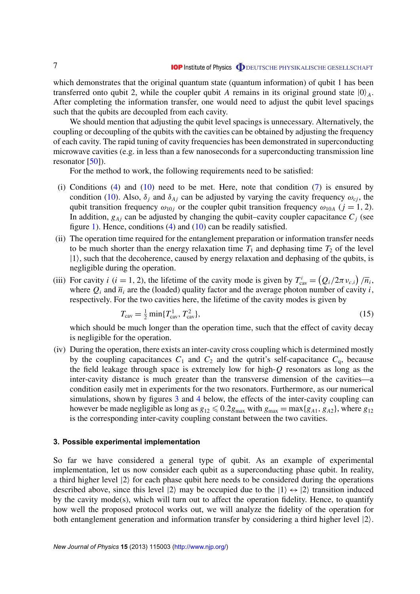<span id="page-6-0"></span>which demonstrates that the original quantum state (quantum information) of qubit 1 has been transferred onto qubit 2, while the coupler qubit *A* remains in its original ground state  $|0\rangle_A$ . After completing the information transfer, one would need to adjust the qubit level spacings such that the qubits are decoupled from each cavity.

We should mention that adjusting the qubit level spacings is unnecessary. Alternatively, the coupling or decoupling of the qubits with the cavities can be obtained by adjusting the frequency of each cavity. The rapid tuning of cavity frequencies has been demonstrated in superconducting microwave cavities (e.g. in less than a few nanoseconds for a superconducting transmission line resonator  $[50]$ ).

For the method to work, the following requirements need to be satisfied:

- (i) Conditions [\(4\)](#page-4-0) and [\(10\)](#page-5-0) need to be met. Here, note that condition  $(7)$  is ensured by condition [\(10\)](#page-5-0). Also,  $\delta_i$  and  $\delta_{Ai}$  can be adjusted by varying the cavity frequency  $\omega_{ci}$ , the qubit transition frequency  $\omega_{10j}$  or the coupler qubit transition frequency  $\omega_{10A}$  ( $j = 1, 2$ ). In addition,  $g_{Ai}$  can be adjusted by changing the qubit–cavity coupler capacitance  $C_i$  (see figure [1\)](#page-3-0). Hence, conditions  $(4)$  and  $(10)$  can be readily satisfied.
- (ii) The operation time required for the entanglement preparation or information transfer needs to be much shorter than the energy relaxation time  $T_1$  and dephasing time  $T_2$  of the level  $|1\rangle$ , such that the decoherence, caused by energy relaxation and dephasing of the qubits, is negligible during the operation.
- (iii) For cavity *i* (*i* = 1, 2), the lifetime of the cavity mode is given by  $T_{\text{cav}}^i = (Q_i/2\pi v_{c,i})/\overline{n}_i$ , where  $Q_i$  and  $\overline{n}_i$  are the (loaded) quality factor and the average photon number of cavity *i*, respectively. For the two cavities here, the lifetime of the cavity modes is given by

$$
T_{\rm cav} = \frac{1}{2} \min\{T_{\rm cav}^1, T_{\rm cav}^2\},\tag{15}
$$

which should be much longer than the operation time, such that the effect of cavity decay is negligible for the operation.

(iv) During the operation, there exists an inter-cavity cross coupling which is determined mostly by the coupling capacitances  $C_1$  and  $C_2$  and the qutrit's self-capacitance  $C_q$ , because the field leakage through space is extremely low for high-*Q* resonators as long as the inter-cavity distance is much greater than the transverse dimension of the cavities—a condition easily met in experiments for the two resonators. Furthermore, as our numerical simulations, shown by figures [3](#page-9-0) and [4](#page-10-0) below, the effects of the inter-cavity coupling can however be made negligible as long as  $g_{12} \le 0.2g_{\text{max}}$  with  $g_{\text{max}} = \max\{g_{A1}, g_{A2}\}\)$ , where  $g_{12}$ is the corresponding inter-cavity coupling constant between the two cavities.

#### **3. Possible experimental implementation**

So far we have considered a general type of qubit. As an example of experimental implementation, let us now consider each qubit as a superconducting phase qubit. In reality, a third higher level  $|2\rangle$  for each phase qubit here needs to be considered during the operations described above, since this level  $|2\rangle$  may be occupied due to the  $|1\rangle \leftrightarrow |2\rangle$  transition induced by the cavity mode(s), which will turn out to affect the operation fidelity. Hence, to quantify how well the proposed protocol works out, we will analyze the fidelity of the operation for both entanglement generation and information transfer by considering a third higher level  $|2\rangle$ .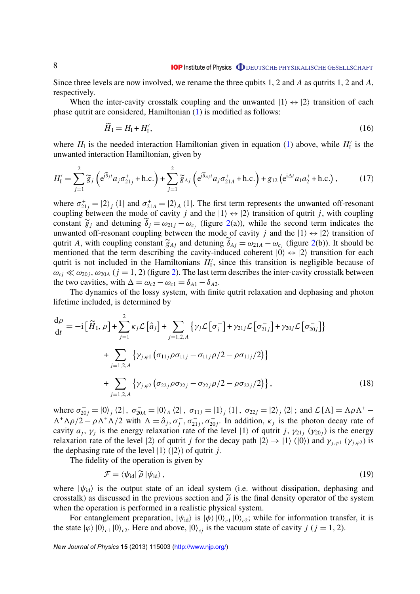Since three levels are now involved, we rename the three qubits 1, 2 and *A* as qutrits 1, 2 and *A*, respectively.

When the inter-cavity crosstalk coupling and the unwanted  $|1\rangle \leftrightarrow |2\rangle$  transition of each phase qutrit are considered, Hamiltonian [\(1\)](#page-3-0) is modified as follows:

$$
\widetilde{H}_{\rm I} = H_{\rm I} + H_{\rm I}^{\prime},\tag{16}
$$

where  $H_I$  is the needed interaction Hamiltonian given in equation [\(1\)](#page-3-0) above, while  $H_I^{\prime}$  $I_I'$  is the unwanted interaction Hamiltonian, given by

$$
H'_{\rm I} = \sum_{j=1}^{2} \widetilde{g}_{j} \left( e^{i\widetilde{\delta}_{j}t} a_{j} \sigma_{21j}^{+} + \text{h.c.} \right) + \sum_{j=1}^{2} \widetilde{g}_{Aj} \left( e^{i\widetilde{\delta}_{Aj}t} a_{j} \sigma_{21A}^{+} + \text{h.c.} \right) + g_{12} \left( e^{i\Delta t} a_{1} a_{2}^{+} + \text{h.c.} \right),\tag{17}
$$

where  $\sigma_{21j}^+ = |2\rangle_j \langle 1|$  and  $\sigma_{21A}^+ = |2\rangle_A \langle 1|$ . The first term represents the unwanted off-resonant coupling between the mode of cavity *j* and the  $|1\rangle \leftrightarrow |2\rangle$  transition of qutrit *j*, with coupling constant  $\tilde{g}_j$  and detuning  $\tilde{\delta}_j = \omega_{21j} - \omega_{c_j}$  (figure [2\(](#page-8-0)a)), while the second term indicates the unwanted off-resonant coupling between the mode of cavity *j* and the  $|1\rangle \leftrightarrow |2\rangle$  transition of qutrit *A*, with coupling constant  $\widetilde{g}_{Aj}$  and detuning  $\widetilde{\delta}_{Aj} = \omega_{21A} - \omega_{c_j}$  (figure [2\(](#page-8-0)b)). It should be mentioned that the term describing the cavity-induced coherent  $|0\rangle \leftrightarrow |2\rangle$  transition for each mentioned that the term describing the cavity-induced coherent  $|0\rangle \leftrightarrow |2\rangle$  transition for each qutrit is not included in the Hamiltonians  $H_1$  $I_I'$ , since this transition is negligible because of  $\omega_{cj} \ll \omega_{20j}$ ,  $\omega_{20A}$  (*j* = 1, [2\)](#page-8-0) (figure 2). The last term describes the inter-cavity crosstalk between the two cavities, with  $\Delta = \omega_{c2} - \omega_{c1} = \delta_{A1} - \delta_{A2}$ .

The dynamics of the lossy system, with finite qutrit relaxation and dephasing and photon lifetime included, is determined by

$$
\frac{d\rho}{dt} = -i \left[ \widetilde{H}_{1}, \rho \right] + \sum_{j=1}^{2} \kappa_{j} \mathcal{L} \left[ \hat{a}_{j} \right] + \sum_{j=1,2,A} \left\{ \gamma_{j} \mathcal{L} \left[ \sigma_{j}^{-} \right] + \gamma_{21j} \mathcal{L} \left[ \sigma_{21j}^{-} \right] + \gamma_{20j} \mathcal{L} \left[ \sigma_{20j}^{-} \right] \right\} \n+ \sum_{j=1,2,A} \left\{ \gamma_{j,\varphi 1} \left( \sigma_{11j} \rho \sigma_{11j} - \sigma_{11j} \rho / 2 - \rho \sigma_{11j} / 2 \right) \right\} \n+ \sum_{j=1,2,A} \left\{ \gamma_{j,\varphi 2} \left( \sigma_{22j} \rho \sigma_{22j} - \sigma_{22j} \rho / 2 - \rho \sigma_{22j} / 2 \right) \right\},
$$
\n(18)

where  $\sigma_{20j}^- = |0\rangle_j \langle 2|$ ,  $\sigma_{20A}^- = |0\rangle_A \langle 2|$ ,  $\sigma_{11j} = |1\rangle_j \langle 1|$ ,  $\sigma_{22j} = |2\rangle_j \langle 2|$ ; and  $\mathcal{L}[\Lambda] = \Lambda \rho \Lambda^+$  $\Lambda^+ \Lambda \rho/2 - \rho \Lambda^+ \Lambda/2$  with  $\Lambda = \hat{a}_j, \sigma_j^-$ ,  $\sigma_{21j}^-$ ,  $\sigma_{20j}^-$ . In addition,  $\kappa_j$  is the photon decay rate of cavity  $a_j$ ,  $\gamma_j$  is the energy relaxation rate of the level  $|1\rangle$  of qutrit *j*,  $\gamma_{21j}$  ( $\gamma_{20j}$ ) is the energy relaxation rate of the level  $|2\rangle$  of qutrit *j* for the decay path  $|2\rangle \rightarrow |1\rangle$  ( $|0\rangle$ ) and  $\gamma_{i,\varphi 1}$  ( $\gamma_{i,\varphi 2}$ ) is the dephasing rate of the level  $|1\rangle$  ( $|2\rangle$ ) of qutrit *j*.

The fidelity of the operation is given by

$$
\mathcal{F} = \langle \psi_{\text{id}} | \tilde{\rho} | \psi_{\text{id}} \rangle , \qquad (19)
$$

where  $|\psi_{id}\rangle$  is the output state of an ideal system (i.e. without dissipation, dephasing and crosstalk) as discussed in the previous section and  $\tilde{\rho}$  is the final density operator of the system when the operation is performed in a realistic physical system.

For entanglement preparation,  $|\psi_{id}\rangle$  is  $|\phi\rangle|0\rangle_{c1}|0\rangle_{c2}$ ; while for information transfer, it is the state  $|\varphi\rangle|0\rangle_{c1}|0\rangle_{c2}$ . Here and above,  $|0\rangle_{cj}$  is the vacuum state of cavity *j* (*j* = 1, 2).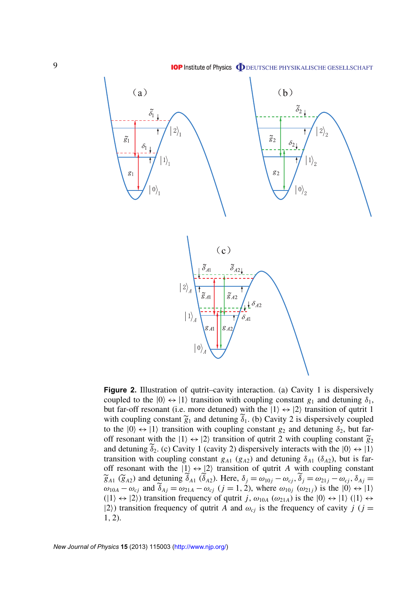<span id="page-8-0"></span>

**Figure 2.** Illustration of qutrit–cavity interaction. (a) Cavity 1 is dispersively coupled to the  $|0\rangle \leftrightarrow |1\rangle$  transition with coupling constant  $g_1$  and detuning  $\delta_1$ , but far-off resonant (i.e. more detuned) with the  $|1\rangle \leftrightarrow |2\rangle$  transition of qutrit 1 with coupling constant  $\tilde{g}_1$  and detuning  $\delta_1$ . (b) Cavity 2 is dispersively coupled to the  $|0\rangle \leftrightarrow |1\rangle$  transition with coupling constant  $g_2$  and detuning  $\delta_2$ , but faroff resonant with the  $|1\rangle \leftrightarrow |2\rangle$  transition of qutrit 2 with coupling constant  $\tilde{g}_2$ and detuning  $\delta_2$ . (c) Cavity 1 (cavity 2) dispersively interacts with the  $|0\rangle \leftrightarrow |1\rangle$ transition with coupling constant  $g_{A1}$  ( $g_{A2}$ ) and detuning  $\delta_{A1}$  ( $\delta_{A2}$ ), but is faroff resonant with the  $|1\rangle \leftrightarrow |2\rangle$  transition of qutrit *A* with coupling constant  $\widetilde{g}_{A1}$  ( $\widetilde{g}_{A2}$ ) and detuning  $\widetilde{\delta}_{A1}$  ( $\widetilde{\delta}_{A2}$ ). Here,  $\delta_j = \omega_{10j} - \omega_{cj}$ ,  $\widetilde{\delta}_j = \omega_{21j} - \omega_{cj}$ ,  $\delta_{Aj} = \omega_{10j} - \omega_{ci}$ ,  $\delta_{AJ} = \omega_{11} - \omega_{ci}$  $\omega_{10A} - \omega_{cj}$  and  $\widetilde{\delta}_{Aj} = \omega_{21A} - \omega_{cj}$  ( $j = 1, 2$ ), where  $\omega_{10j}$  ( $\omega_{21j}$ ) is the  $|0\rangle \leftrightarrow |1\rangle$  $(|1\rangle \leftrightarrow |2\rangle)$  transition frequency of qutrit *j*,  $\omega_{10A}$  ( $\omega_{21A}$ ) is the  $|0\rangle \leftrightarrow |1\rangle$  ( $|1\rangle \leftrightarrow$  $|2\rangle$ ) transition frequency of qutrit *A* and  $\omega_{ci}$  is the frequency of cavity *j* (*j* = 1, 2).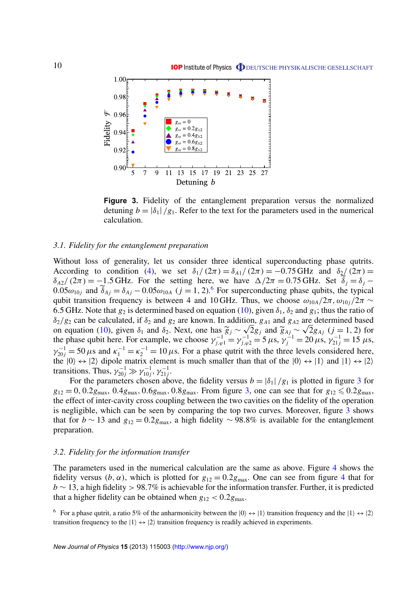<span id="page-9-0"></span>

**Figure 3.** Fidelity of the entanglement preparation versus the normalized detuning  $b = |\delta_1|/g_1$ . Refer to the text for the parameters used in the numerical calculation.

#### *3.1. Fidelity for the entanglement preparation*

Without loss of generality, let us consider three identical superconducting phase qutrits. According to condition [\(4\)](#page-4-0), we set  $\delta_1/(2\pi) = \delta_{A_1}/(2\pi) = -0.75$  GHz and  $\delta_2/(2\pi) =$  $\delta_{A2}/(2\pi) = -1.5$  GHz. For the setting here, we have  $\Delta/2\pi = 0.75$  GHz. Set  $\tilde{\delta}_i = \delta_i$  $0.05\omega_{10}$  and  $\tilde{\delta}_{Aj} = \delta_{Aj} - 0.05\omega_{10}$  (*j* = 1, 2).<sup>6</sup> For superconducting phase qubits, the typical qubit transition frequency is between 4 and 10 GHz. Thus, we choose  $\omega_{10A}/2\pi$ ,  $\omega_{10j}/2\pi \sim$ 6.5 GHz. Note that  $g_2$  is determined based on equation [\(10\)](#page-5-0), given  $\delta_1$ ,  $\delta_2$  and  $g_1$ ; thus the ratio of  $\delta_2/g_2$  can be calculated, if  $\delta_2$  and  $g_2$  are known. In addition,  $g_{A1}$  and  $g_{A2}$  are determined based on equation [\(10\)](#page-5-0), given  $\delta_1$  and  $\delta_2$ . Next, one has  $\tilde{g}_j \sim \sqrt{2}g_j$  and  $\tilde{g}_{Aj} \sim \sqrt{2}g_{Aj}$  (*j* = 1, 2) for the phase qubit here. For example, we choose  $\gamma_{j,\varphi 1}^{-1} = \gamma_{j,\varphi 2}^{-1} = 5 \mu s$ ,  $\gamma_j^{-1} = 20 \mu s$ ,  $\gamma_{21j}^{-1} = 15 \mu s$ ,  $\gamma_{20j}^{-1} = 50 \,\mu s$  and  $\kappa_1^{-1} = \kappa_2^{-1} = 10 \,\mu s$ . For a phase qutrit with the three levels considered here, the  $|0\rangle \leftrightarrow |2\rangle$  dipole matrix element is much smaller than that of the  $|0\rangle \leftrightarrow |1\rangle$  and  $|1\rangle \leftrightarrow |2\rangle$ transitions. Thus,  $\gamma_{20j}^{-1} \gg \gamma_{10j}^{-1}$  $\gamma_{10j}^{-1}, \gamma_{21j}^{-1}.$ 

For the parameters chosen above, the fidelity versus  $b = |\delta_1|/g_1$  is plotted in figure 3 for  $g_{12} = 0, 0.2g_{\text{max}}, 0.4g_{\text{max}}, 0.6g_{\text{max}}, 0.8g_{\text{max}}$ . From figure 3, one can see that for  $g_{12} \le 0.2g_{\text{max}}$ , the effect of inter-cavity cross coupling between the two cavities on the fidelity of the operation is negligible, which can be seen by comparing the top two curves. Moreover, figure 3 shows that for *b* ∼ 13 and  $g_{12} = 0.2g_{\text{max}}$ , a high fidelity ∼ 98.8% is available for the entanglement preparation.

#### *3.2. Fidelity for the information transfer*

The parameters used in the numerical calculation are the same as above. Figure [4](#page-10-0) shows the fidelity versus (*b*,  $\alpha$ ), which is plotted for  $g_{12} = 0.2 g_{\text{max}}$ . One can see from figure [4](#page-10-0) that for *b* ∼ 13, a high fidelity > 98.7% is achievable for the information transfer. Further, it is predicted that a higher fidelity can be obtained when  $g_{12} < 0.2 g_{\text{max}}$ .

<sup>&</sup>lt;sup>6</sup> For a phase qutrit, a ratio 5% of the anharmonicity between the  $|0\rangle \leftrightarrow |1\rangle$  transition frequency and the  $|1\rangle \leftrightarrow |2\rangle$ transition frequency to the  $|1\rangle \leftrightarrow |2\rangle$  transition frequency is readily achieved in experiments.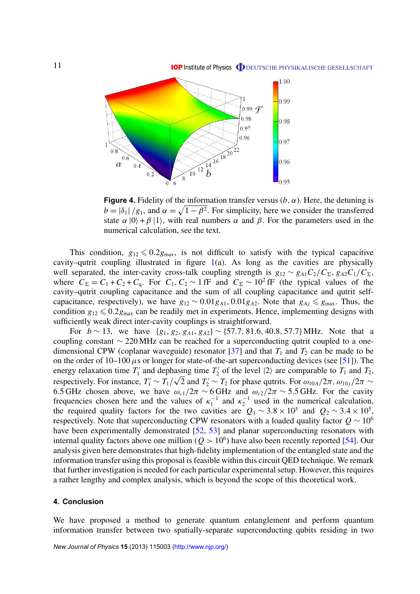<span id="page-10-0"></span>

**Figure 4.** Fidelity of the information transfer versus  $(b, \alpha)$ . Here, the detuning is  $b = |\delta_1|/g_1$ , and  $\alpha = \sqrt{1 - \beta^2}$ . For simplicity, here we consider the transferred state  $\alpha$  |0} + β |1}, with real numbers  $\alpha$  and  $\beta$ . For the parameters used in the numerical calculation, see the text.

This condition,  $g_{12} \le 0.2g_{\text{max}}$ , is not difficult to satisfy with the typical capacitive cavity–qutrit coupling illustrated in figure  $1(a)$  $1(a)$ . As long as the cavities are physically well separated, the inter-cavity cross-talk coupling strength is  $g_{12} \sim g_{A1} C_2 / C_{\Sigma}$ ,  $g_{A2} C_1 / C_{\Sigma}$ , where  $C_{\Sigma} = C_1 + C_2 + C_q$ . For  $C_1, C_2 \sim 1$  fF and  $C_{\Sigma} \sim 10^2$  fF (the typical values of the cavity–qutrit coupling capacitance and the sum of all coupling capacitance and qutrit selfcapacitance, respectively), we have  $g_{12} \sim 0.01 g_{A1}$ , 0.01 $g_{A2}$ . Note that  $g_{Aj} \le g_{max}$ . Thus, the condition  $g_{12} \leq 0.2g_{\text{max}}$  can be readily met in experiments. Hence, implementing designs with sufficiently weak direct inter-cavity couplings is straightforward.

For  $b \sim 13$ , we have  $\{g_1, g_2, g_{A1}, g_{A2}\} \sim \{57.7, 81.6, 40.8, 57.7\}$  MHz. Note that a coupling constant ∼ 220 MHz can be reached for a superconducting qutrit coupled to a onedimensional CPW (coplanar waveguide) resonator  $\left[37\right]$  and that  $T_1$  and  $T_2$  can be made to be on the order of  $10-100 \mu s$  or longer for state-of-the-art superconducting devices (see [\[51\]](#page-13-0)). The energy relaxation time  $T_1'$  $T_1'$  and dephasing time  $T_2'$ asing time  $T_2'$  of the level  $|2\rangle$  are comparable to  $T_1$  and  $T_2$ , respectively. For instance,  $T_1' \sim T_1/\sqrt{2}$  and  $T_2' \sim T_2$  for phase qutrits. For  $\omega_{10A}/2\pi$ ,  $\omega_{10j}/2\pi \sim$ 6.5 GHz chosen above, we have  $\omega_{c1}/2\pi \sim 6$  GHz and  $\omega_{c2}/2\pi \sim 5.5$  GHz. For the cavity frequencies chosen here and the values of  $\kappa_1^{-1}$  $\kappa_1^{-1}$  and  $\kappa_2^{-1}$  $z^{-1}$  used in the numerical calculation, the required quality factors for the two cavities are  $Q_1 \sim 3.8 \times 10^5$  and  $Q_2 \sim 3.4 \times 10^5$ , respectively. Note that superconducting CPW resonators with a loaded quality factor  $Q \sim 10^6$ have been experimentally demonstrated [\[52,](#page-13-0) [53\]](#page-13-0) and planar superconducting resonators with internal quality factors above one million ( $Q > 10<sup>6</sup>$ ) have also been recently reported [\[54\]](#page-13-0). Our analysis given here demonstrates that high-fidelity implementation of the entangled state and the information transfer using this proposal is feasible within this circuit QED technique. We remark that further investigation is needed for each particular experimental setup. However, this requires a rather lengthy and complex analysis, which is beyond the scope of this theoretical work.

## **4. Conclusion**

We have proposed a method to generate quantum entanglement and perform quantum information transfer between two spatially-separate superconducting qubits residing in two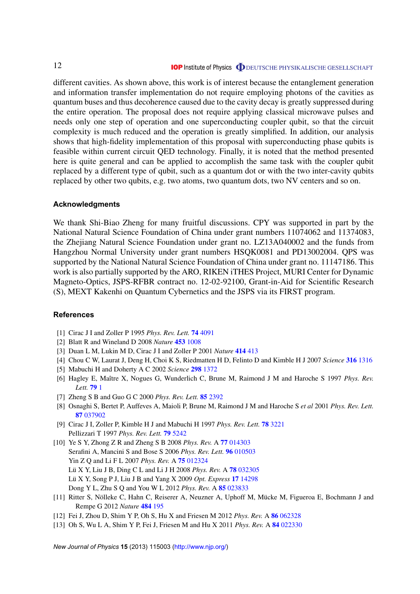<span id="page-11-0"></span>different cavities. As shown above, this work is of interest because the entanglement generation and information transfer implementation do not require employing photons of the cavities as quantum buses and thus decoherence caused due to the cavity decay is greatly suppressed during the entire operation. The proposal does not require applying classical microwave pulses and needs only one step of operation and one superconducting coupler qubit, so that the circuit complexity is much reduced and the operation is greatly simplified. In addition, our analysis shows that high-fidelity implementation of this proposal with superconducting phase qubits is feasible within current circuit QED technology. Finally, it is noted that the method presented here is quite general and can be applied to accomplish the same task with the coupler qubit replaced by a different type of qubit, such as a quantum dot or with the two inter-cavity qubits replaced by other two qubits, e.g. two atoms, two quantum dots, two NV centers and so on.

## **Acknowledgments**

We thank Shi-Biao Zheng for many fruitful discussions. CPY was supported in part by the National Natural Science Foundation of China under grant numbers 11074062 and 11374083, the Zhejiang Natural Science Foundation under grant no. LZ13A040002 and the funds from Hangzhou Normal University under grant numbers HSQK0081 and PD13002004. QPS was supported by the National Natural Science Foundation of China under grant no. 11147186. This work is also partially supported by the ARO, RIKEN iTHES Project, MURI Center for Dynamic Magneto-Optics, JSPS-RFBR contract no. 12-02-92100, Grant-in-Aid for Scientific Research (S), MEXT Kakenhi on Quantum Cybernetics and the JSPS via its FIRST program.

#### **References**

- [1] Cirac J I and Zoller P 1995 *Phys. Rev. Lett.* **74** [4091](http://dx.doi.org/10.1103/PhysRevLett.74.4091)
- [2] Blatt R and Wineland D 2008 *Nature* **453** [1008](http://dx.doi.org/10.1038/nature07125)
- [3] Duan L M, Lukin M D, Cirac J I and Zoller P 2001 *Nature* **414** [413](http://dx.doi.org/10.1038/35106500)
- [4] Chou C W, Laurat J, Deng H, Choi K S, Riedmatten H D, Felinto D and Kimble H J 2007 *Science* **316** [1316](http://dx.doi.org/10.1126/science.1140300)
- [5] Mabuchi H and Doherty A C 2002 *Science* **298** [1372](http://dx.doi.org/10.1126/science.1078446)
- [6] Hagley E, Maître X, Nogues G, Wunderlich C, Brune M, Raimond J M and Haroche S 1997 *Phys. Rev. Lett.* **[79](http://dx.doi.org/10.1103/PhysRevLett.79.1)** 1
- [7] Zheng S B and Guo G C 2000 *Phys. Rev. Lett.* **85** [2392](http://dx.doi.org/10.1103/PhysRevLett.85.2392)
- [8] Osnaghi S, Bertet P, Auffeves A, Maioli P, Brune M, Raimond J M and Haroche S *et al* 2001 *Phys. Rev. Lett.* **87** [037902](http://dx.doi.org/10.1103/PhysRevLett.87.037902)
- [9] Cirac J I, Zoller P, Kimble H J and Mabuchi H 1997 *Phys. Rev. Lett.* **78** [3221](http://dx.doi.org/10.1103/PhysRevLett.78.3221) Pellizzari T 1997 *Phys. Rev. Lett.* **79** [5242](http://dx.doi.org/10.1103/PhysRevLett.79.5242)
- [10] Ye S Y, Zhong Z R and Zheng S B 2008 *Phys. Rev.* A **77** [014303](http://dx.doi.org/10.1103/PhysRevA.77.014303) Serafini A, Mancini S and Bose S 2006 *Phys. Rev. Lett.* **96** [010503](http://dx.doi.org/10.1103/PhysRevLett.96.010503) Yin Z Q and Li F L 2007 *Phys. Rev.* A **75** [012324](http://dx.doi.org/10.1103/PhysRevA.75.012324) Lü X Y, Liu J B, Ding C L and Li J H 2008 Phys. Rev. A 78 [032305](http://dx.doi.org/10.1103/PhysRevA.78.032305) Lü X Y, Song P J, Liu J B and Yang X 2009 Opt. Express 17 [14298](http://dx.doi.org/10.1364/OE.17.014298) Dong Y L, Zhu S Q and You W L 2012 *Phys. Rev.* A **85** [023833](http://dx.doi.org/10.1103/PhysRevA.85.023833)
- [11] Ritter S, Nölleke C, Hahn C, Reiserer A, Neuzner A, Uphoff M, Mücke M, Figueroa E, Bochmann J and Rempe G 2012 *Nature* **484** [195](http://dx.doi.org/10.1038/nature11023)
- [12] Fei J, Zhou D, Shim Y P, Oh S, Hu X and Friesen M 2012 *Phys. Rev.* A **86** [062328](http://dx.doi.org/10.1103/PhysRevA.86.062328)
- [13] Oh S, Wu L A, Shim Y P, Fei J, Friesen M and Hu X 2011 *Phys. Rev.* A **84** [022330](http://dx.doi.org/10.1103/PhysRevA.84.022330)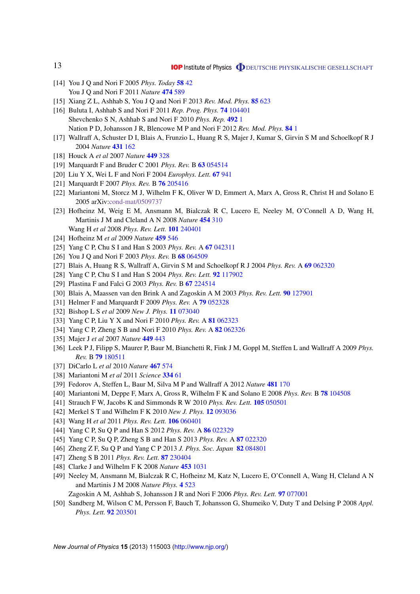- [14] You J Q and Nori F 2005 *Phys. Today* **[58](http://dx.doi.org/10.1063/1.2155757)** 42 You J Q and Nori F 2011 *Nature* **[474](http://dx.doi.org/10.1038/nature10122)** 589
- [15] Xiang Z L, Ashhab S, You J Q and Nori F 2013 *Rev. Mod. Phys.* **85** [623](http://dx.doi.org/10.1103/RevModPhys.85.623)
- [16] Buluta I, Ashhab S and Nori F 2011 *Rep. Prog. Phys.* **74** [104401](http://dx.doi.org/10.1088/0034-4885/74/10/104401) Shevchenko S N, Ashhab S and Nori F 2010 *Phys. Rep.* **[492](http://dx.doi.org/10.1016/j.physrep.2010.03.002)** 1 Nation P D, Johansson J R, Blencowe M P and Nori F 2012 *Rev. Mod. Phys.* **[84](http://dx.doi.org/10.1103/RevModPhys.84.1)** 1
- [17] Wallraff A, Schuster D I, Blais A, Frunzio L, Huang R S, Majer J, Kumar S, Girvin S M and Schoelkopf R J 2004 *Nature* **[431](http://dx.doi.org/10.1038/nature02851)** 162
- [18] Houck A *et al* 2007 *Nature* **449** [328](http://dx.doi.org/10.1038/nature06126)
- [19] Marquardt F and Bruder C 2001 *Phys. Rev.* B **63** [054514](http://dx.doi.org/10.1103/PhysRevB.63.054514)
- [20] Liu Y X, Wei L F and Nori F 2004 *Europhys. Lett.* **67** [941](http://dx.doi.org/10.1209/epl/i2004-10144-3)
- [21] Marquardt F 2007 *Phys. Rev.* B **76** [205416](http://dx.doi.org/10.1103/PhysRevB.76.205416)
- [22] Mariantoni M, Storcz M J, Wilhelm F K, Oliver W D, Emmert A, Marx A, Gross R, Christ H and Solano E 2005 arXiv[:cond-mat/0509737](http://arxiv.org/abs/cond-mat/0509737)
- [23] Hofheinz M, Weig E M, Ansmann M, Bialczak R C, Lucero E, Neeley M, O'Connell A D, Wang H, Martinis J M and Cleland A N 2008 *Nature* **[454](http://dx.doi.org/10.1038/nature07136)** 310 Wang H *et al* 2008 *Phys. Rev. Lett.* **101** [240401](http://dx.doi.org/10.1103/PhysRevLett.101.240401)
- [24] Hofheinz M *et al* 2009 *Nature* **459** [546](http://dx.doi.org/10.1038/nature08005)
- [25] Yang C P, Chu S I and Han S 2003 *Phys. Rev.* A **67** [042311](http://dx.doi.org/10.1103/PhysRevA.67.042311)
- [26] You J Q and Nori F 2003 *Phys. Rev.* B **68** [064509](http://dx.doi.org/10.1103/PhysRevB.68.064509)
- [27] Blais A, Huang R S, Wallraff A, Girvin S M and Schoelkopf R J 2004 *Phys. Rev.* A **69** [062320](http://dx.doi.org/10.1103/PhysRevA.69.062320)
- [28] Yang C P, Chu S I and Han S 2004 *Phys. Rev. Lett.* **92** [117902](http://dx.doi.org/10.1103/PhysRevLett.92.117902)
- [29] Plastina F and Falci G 2003 *Phys. Rev.* B **67** [224514](http://dx.doi.org/10.1103/PhysRevB.67.224514)
- [30] Blais A, Maassen van den Brink A and Zagoskin A M 2003 *Phys. Rev. Lett.* **90** [127901](http://dx.doi.org/10.1103/PhysRevLett.90.127901)
- [31] Helmer F and Marquardt F 2009 *Phys. Rev.* A **79** [052328](http://dx.doi.org/10.1103/PhysRevA.79.052328)
- [32] Bishop L S *et al* 2009 *New J. Phys.* **11** [073040](http://dx.doi.org/10.1088/1367-2630/11/7/073040)
- [33] Yang C P, Liu Y X and Nori F 2010 *Phys. Rev.* A **81** [062323](http://dx.doi.org/10.1103/PhysRevA.81.062323)
- [34] Yang C P, Zheng S B and Nori F 2010 *Phys. Rev.* A **82** [062326](http://dx.doi.org/10.1103/PhysRevA.82.062326)
- [35] Majer J *et al* 2007 *Nature* **449** [443](http://dx.doi.org/10.1038/nature06184)
- [36] Leek P J, Filipp S, Maurer P, Baur M, Bianchetti R, Fink J M, Goppl M, Steffen L and Wallraff A 2009 *Phys. Rev.* B **79** [180511](http://dx.doi.org/10.1103/PhysRevB.79.180511)
- [37] DiCarlo L *et al* 2010 *Nature* **467** [574](http://dx.doi.org/10.1038/nature09416)
- [38] Mariantoni M *et al* 2011 *Science* **[334](http://dx.doi.org/10.1126/science.1208517)** 61
- [39] Fedorov A, Steffen L, Baur M, Silva M P and Wallraff A 2012 *Nature* **481** [170](http://dx.doi.org/10.1038/nature10713)
- [40] Mariantoni M, Deppe F, Marx A, Gross R, Wilhelm F K and Solano E 2008 *Phys. Rev.* B **78** [104508](http://dx.doi.org/10.1103/PhysRevB.78.104508)
- [41] Strauch F W, Jacobs K and Simmonds R W 2010 *Phys. Rev. Lett.* **105** [050501](http://dx.doi.org/10.1103/PhysRevLett.105.050501)
- [42] Merkel S T and Wilhelm F K 2010 *New J. Phys.* **12** [093036](http://dx.doi.org/10.1088/1367-2630/12/9/093036)
- [43] Wang H *et al* 2011 *Phys. Rev. Lett.* **106** [060401](http://dx.doi.org/10.1103/PhysRevLett.106.060401)
- [44] Yang C P, Su Q P and Han S 2012 *Phys. Rev.* A **86** [022329](http://dx.doi.org/10.1103/PhysRevA.86.022329)
- [45] Yang C P, Su Q P, Zheng S B and Han S 2013 *Phys. Rev.* A **87** [022320](http://dx.doi.org/10.1103/PhysRevA.87.022320)
- [46] Zheng Z F, Su Q P and Yang C P 2013 *J. Phys. Soc. Japan* **82** [084801](http://dx.doi.org/10.7566/JPSJ.82.084801)
- [47] Zheng S B 2011 *Phys. Rev. Lett.* **87** [230404](http://dx.doi.org/10.1103/PhysRevLett.87.230404)
- [48] Clarke J and Wilhelm F K 2008 *Nature* **453** [1031](http://dx.doi.org/10.1038/nature07128)
- [49] Neeley M, Ansmann M, Bialczak R C, Hofheinz M, Katz N, Lucero E, O'Connell A, Wang H, Cleland A N and Martinis J M 2008 *Nature Phys.* **4** [523](http://dx.doi.org/10.1038/nphys972)
	- Zagoskin A M, Ashhab S, Johansson J R and Nori F 2006 *Phys. Rev. Lett.* **97** [077001](http://dx.doi.org/10.1103/PhysRevLett.97.077001)
- [50] Sandberg M, Wilson C M, Persson F, Bauch T, Johansson G, Shumeiko V, Duty T and Delsing P 2008 *Appl. Phys. Lett.* **92** [203501](http://dx.doi.org/10.1063/1.2929367)

*New Journal of Physics* **15** (2013) 115003 [\(http://www.njp.org/\)](http://www.njp.org/)

<span id="page-12-0"></span>13